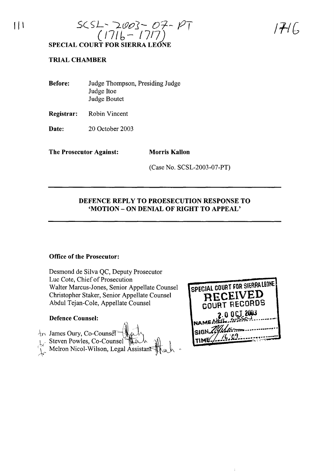

 $|+|$ 

## **TRIAL CHAMBER**

**Before:** Judge Thompson, Presiding Judge Judge Hoe Judge Boutet

**Registrar:** Robin Vincent

**Date:** 20 October 2003

**The Prosecutor Against: Morris Kallon**

(Case No. SCSL-2003-07-PT)

## **DEFENCE REPLY TO PROESECUTION RESPONSE TO 'MOTION - ON DENIAL OF RIGHT TO APPEAL'**

## **Office of the Prosecutor:**

Desmond de Silva QC, Deputy Prosecutor Luc Cote, Chief of Prosecution Walter Marcus-Jones, Senior Appellate Counsel Christopher Staker, Senior Appellate Counsel Abdul Tejan-Cole, Appellate Counsel

## **Defence Counsel:**



| SPECIAL COURT FOR SIERRALEONE |
|-------------------------------|
| RECEIVED                      |
|                               |
| COURT RECORDS                 |
| 2.0 OCT 2003                  |
|                               |
|                               |
| SIGN 2016                     |
|                               |
| 1.16.09                       |
|                               |

 $\hat{1}$